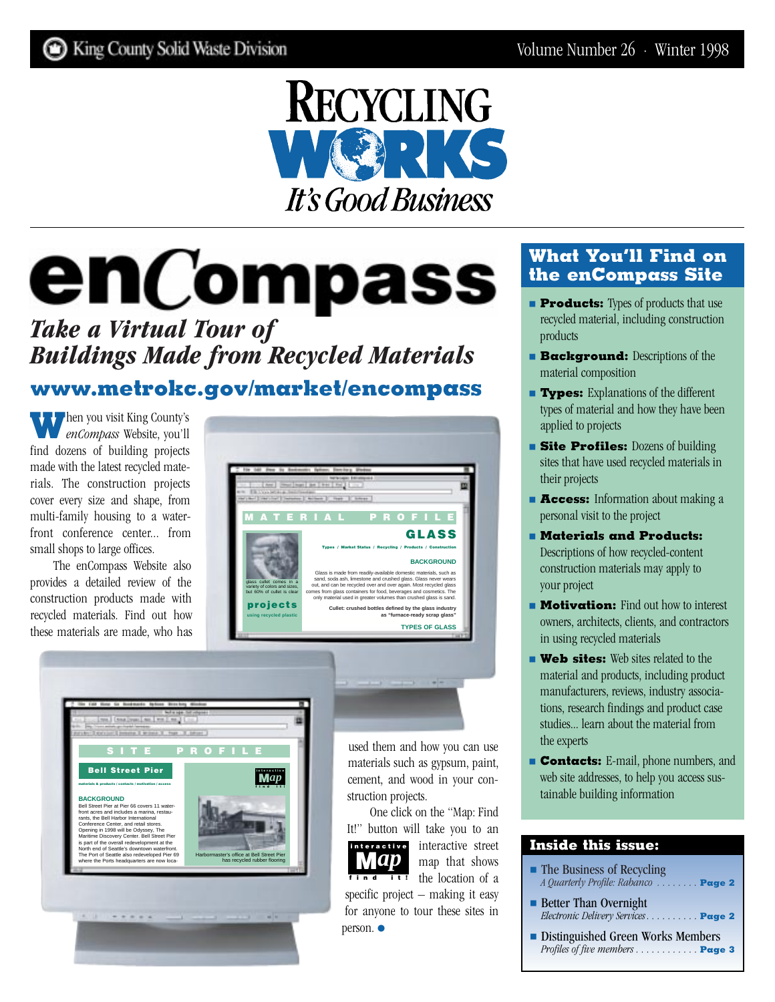

# **enCompass**

# *Take a Virtual Tour of Buildings Made from Recycled Materials*  **[www.metrokc.gov/market/encompass](http://www.metrokc.gov/market/encompass)**

**When you visit King County's** *enCompass* Website, you'll find dozens of building projects made with the latest recycled materials. The construction projects cover every size and shape, from multi-family housing to a waterfront conference center... from small shops to large offices.

The enCompass Website also provides a detailed review of the construction products made with recycled materials. Find out how these materials are made, who has





used them and how you can use materials such as gypsum, paint, cement, and wood in your construction projects.

One click on the "Map: Find It!" button will take you to an



**interactive** interactive street map that shows **find it!** the location of a

specific project – making it easy for anyone to tour these sites in person. ●

## **What You'll Find on the enCompass Site**

- **Products:** Types of products that use recycled material, including construction products
- **Background:** Descriptions of the material composition
- **Types:** Explanations of the different types of material and how they have been applied to projects
- **Site Profiles:** Dozens of building sites that have used recycled materials in their projects
- **Access:** Information about making a personal visit to the project
- **Materials and Products:** Descriptions of how recycled-content construction materials may apply to your project
- **Motivation:** Find out how to interest owners, architects, clients, and contractors in using recycled materials
- **Web sites:** Web sites related to the material and products, including product manufacturers, reviews, industry associations, research findings and product case studies... learn about the material from the experts
- **Contacts:** E-mail, phone numbers, and web site addresses, to help you access sustainable building information

### **Inside this issue:**

- The Business of Recycling *[A Quarterly Profile: Rabanco . . . . . . . .](#page-1-0)* **Page 2**
- Better Than Overnight *[Electronic Delivery Services . . . . . . . . . .](#page-1-0)* **Page 2**
- [Distinguished Green Works Members](#page-2-0) *Profiles of five members . . . . . . . . . . . . Page 3*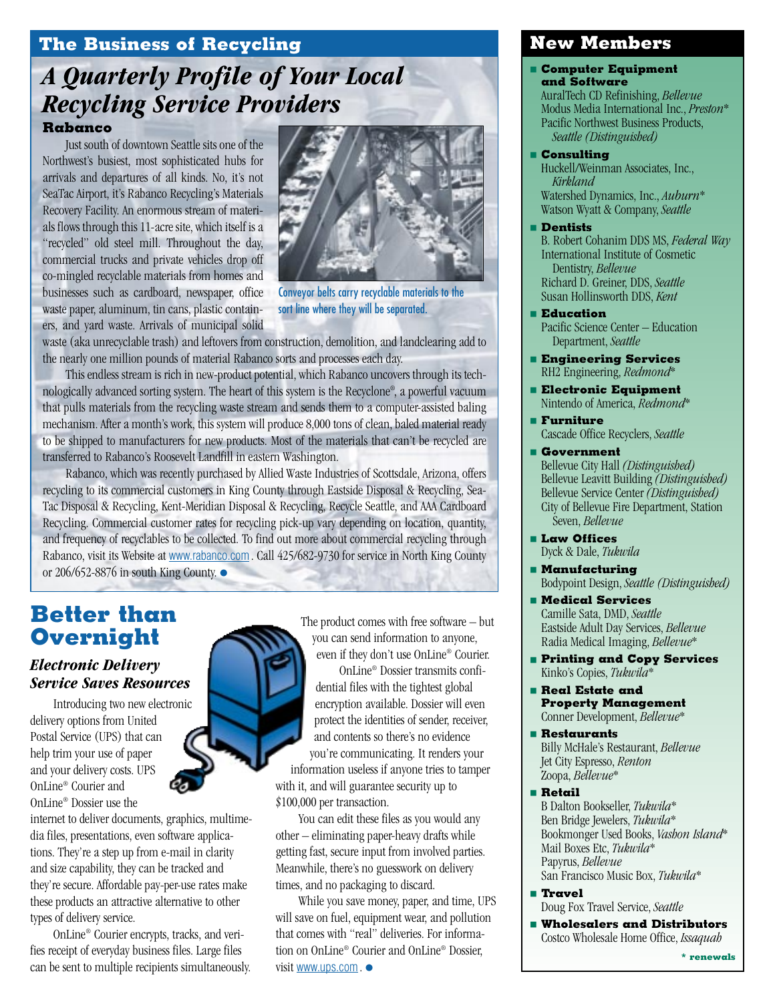## <span id="page-1-0"></span>**The Business of Recycling**

# *A Quarterly Profile of Your Local Recycling Service Providers*

#### **Rabanco**

Just south of downtown Seattle sits one of the Northwest's busiest, most sophisticated hubs for arrivals and departures of all kinds. No, it's not SeaTac Airport, it's Rabanco Recycling's Materials Recovery Facility. An enormous stream of materials flows through this 11-acre site, which itself is a "recycled" old steel mill. Throughout the day, commercial trucks and private vehicles drop off co-mingled recyclable materials from homes and businesses such as cardboard, newspaper, office waste paper, aluminum, tin cans, plastic containers, and yard waste. Arrivals of municipal solid



Conveyor belts carry recyclable materials to the sort line where they will be separated.

waste (aka unrecyclable trash) and leftovers from construction, demolition, and landclearing add to the nearly one million pounds of material Rabanco sorts and processes each day.

This endless stream is rich in new-product potential, which Rabanco uncovers through its technologically advanced sorting system. The heart of this system is the Recyclone® , a powerful vacuum that pulls materials from the recycling waste stream and sends them to a computer-assisted baling mechanism. After a month's work, this system will produce 8,000 tons of clean, baled material ready to be shipped to manufacturers for new products. Most of the materials that can't be recycled are transferred to Rabanco's Roosevelt Landfill in eastern Washington.

Rabanco, which was recently purchased by Allied Waste Industries of Scottsdale, Arizona, offers recycling to its commercial customers in King County through Eastside Disposal & Recycling, Sea-Tac Disposal & Recycling, Kent-Meridian Disposal & Recycling, Recycle Seattle, and AAA Cardboard Recycling. Commercial customer rates for recycling pick-up vary depending on location, quantity, and frequency of recyclables to be collected. To find out more about commercial recycling through Rabanco, visit its Website at [www.rabanco.com](http://www.rabanco.com). Call 425/682-9730 for service in North King County or 206/652-8876 in south King County. ●

## **Better than Overnight**

#### *Electronic Delivery Service Saves Resources*

Introducing two new electronic delivery options from United Postal Service (UPS) that can help trim your use of paper and your delivery costs. UPS OnLine® Courier and OnLine® Dossier use the

internet to deliver documents, graphics, multimedia files, presentations, even software applications. They're a step up from e-mail in clarity and size capability, they can be tracked and they're secure. Affordable pay-per-use rates make these products an attractive alternative to other types of delivery service.

OnLine® Courier encrypts, tracks, and verifies receipt of everyday business files. Large files can be sent to multiple recipients simultaneously. The product comes with free software – but you can send information to anyone, even if they don't use OnLine® Courier.

OnLine® Dossier transmits confidential files with the tightest global encryption available. Dossier will even protect the identities of sender, receiver, and contents so there's no evidence you're communicating. It renders your

information useless if anyone tries to tamper with it, and will guarantee security up to \$100,000 per transaction.

You can edit these files as you would any other – eliminating paper-heavy drafts while getting fast, secure input from involved parties. Meanwhile, there's no guesswork on delivery times, and no packaging to discard.

While you save money, paper, and time, UPS will save on fuel, equipment wear, and pollution that comes with "real" deliveries. For information on OnLine® Courier and OnLine® Dossier, visit [www.ups.com](http://www.usps.com). ●

#### **New Members**

**Computer Equipment and Software**

AuralTech CD Refinishing, *Bellevue* Modus Media International Inc., *Preston*\* Pacific Northwest Business Products, *Seattle (Distinguished)*

■ **Consulting**

Huckell/Weinman Associates, Inc., *Kirkland* Watershed Dynamics, Inc., *Auburn*\* Watson Wyatt & Company, *Seattle*

- **Dentists**
- B. Robert Cohanim DDS MS, *Federal Way* International Institute of Cosmetic Dentistry, *Bellevue* Richard D. Greiner, DDS, *Seattle*  Susan Hollinsworth DDS, *Kent*
- **Education** Pacific Science Center – Education Department, *Seattle*
- **Engineering Services** RH2 Engineering, *Redmond*\*
- **Electronic Equipment** Nintendo of America, *Redmond*\*
- **Furniture** Cascade Office Recyclers, *Seattle*
- **Government** Bellevue City Hall *(Distinguished)* Bellevue Leavitt Building *(Distinguished)* Bellevue Service Center *(Distinguished)* City of Bellevue Fire Department, Station Seven, *Bellevue*
- **Law Offices** Dyck & Dale, *Tukwila*
- **Manufacturing** Bodypoint Design, *Seattle (Distinguished)*
- **Medical Services** Camille Sata, DMD, *Seattle* Eastside Adult Day Services, *Bellevue* Radia Medical Imaging, *Bellevue*\*
- **Printing and Copy Services** Kinko's Copies, *Tukwila*\*
- **Real Estate and Property Management** Conner Development, *Bellevue*\*
- **Restaurants** Billy McHale's Restaurant, *Bellevue* Jet City Espresso, *Renton* Zoopa, *Bellevue*\*
- **Retail** B Dalton Bookseller, *Tukwila*\* Ben Bridge Jewelers, *Tukwila*\* Bookmonger Used Books, *Vashon Island*\* Mail Boxes Etc, *Tukwila*\* Papyrus, *Bellevue* San Francisco Music Box, *Tukwila*\*
- **Travel** Doug Fox Travel Service, *Seattle*
	- **Wholesalers and Distributors** Costco Wholesale Home Office, *Issaquah*

**\* renewals**

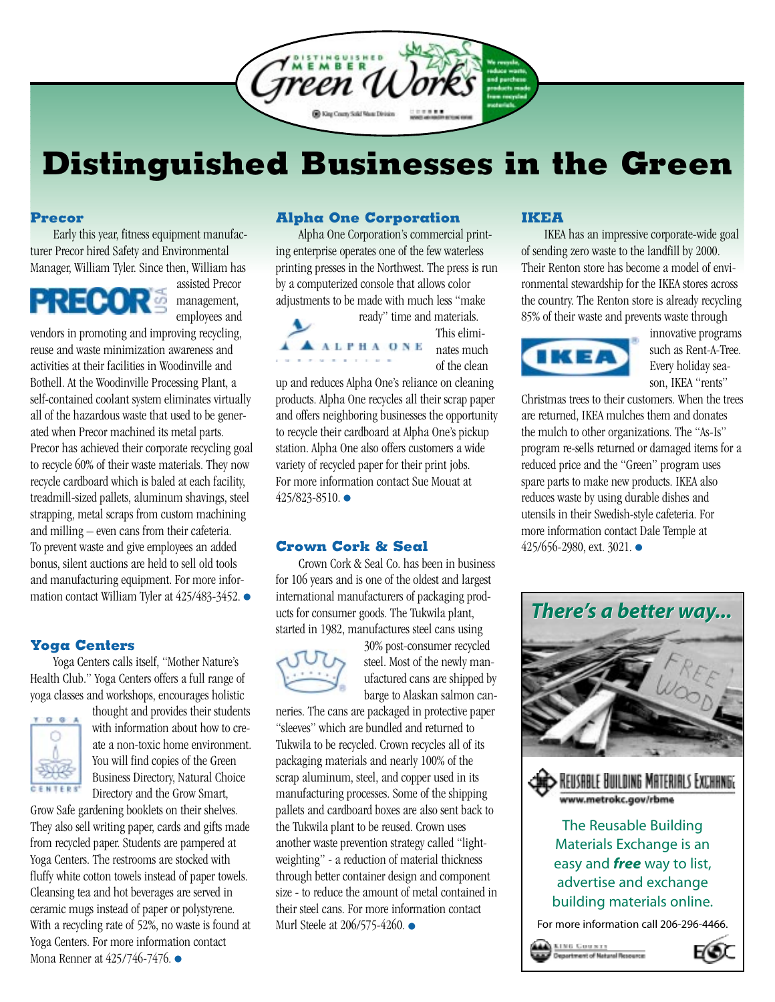<span id="page-2-0"></span>

# **Distinguished Businesses in the Green**

#### **Precor**

Early this year, fitness equipment manufacturer Precor hired Safety and Environmental Manager, William Tyler. Since then, William has



assisted Precor management, employees and

vendors in promoting and improving recycling, reuse and waste minimization awareness and activities at their facilities in Woodinville and Bothell. At the Woodinville Processing Plant, a self-contained coolant system eliminates virtually all of the hazardous waste that used to be generated when Precor machined its metal parts. Precor has achieved their corporate recycling goal to recycle 60% of their waste materials. They now recycle cardboard which is baled at each facility, treadmill-sized pallets, aluminum shavings, steel strapping, metal scraps from custom machining and milling – even cans from their cafeteria. To prevent waste and give employees an added bonus, silent auctions are held to sell old tools and manufacturing equipment. For more information contact William Tyler at 425/483-3452. ●

#### **Yoga Centers**

Yoga Centers calls itself, "Mother Nature's Health Club." Yoga Centers offers a full range of yoga classes and workshops, encourages holistic



thought and provides their students with information about how to create a non-toxic home environment. You will find copies of the Green Business Directory, Natural Choice Directory and the Grow Smart,

Grow Safe gardening booklets on their shelves. They also sell writing paper, cards and gifts made from recycled paper. Students are pampered at Yoga Centers. The restrooms are stocked with fluffy white cotton towels instead of paper towels. Cleansing tea and hot beverages are served in ceramic mugs instead of paper or polystyrene. With a recycling rate of 52%, no waste is found at Yoga Centers. For more information contact Mona Renner at 425/746-7476. ●

#### **Alpha One Corporation**

Alpha One Corporation's commercial printing enterprise operates one of the few waterless printing presses in the Northwest. The press is run by a computerized console that allows color adjustments to be made with much less "make

**AALPHAONE** 

ready" time and materials. This eliminates much of the clean

up and reduces Alpha One's reliance on cleaning products. Alpha One recycles all their scrap paper and offers neighboring businesses the opportunity to recycle their cardboard at Alpha One's pickup station. Alpha One also offers customers a wide variety of recycled paper for their print jobs. For more information contact Sue Mouat at 425/823-8510. ●

#### **Crown Cork & Seal**

Crown Cork & Seal Co. has been in business for 106 years and is one of the oldest and largest international manufacturers of packaging products for consumer goods. The Tukwila plant, started in 1982, manufactures steel cans using



30% post-consumer recycled steel. Most of the newly manufactured cans are shipped by barge to Alaskan salmon can-

neries. The cans are packaged in protective paper "sleeves" which are bundled and returned to Tukwila to be recycled. Crown recycles all of its packaging materials and nearly 100% of the scrap aluminum, steel, and copper used in its manufacturing processes. Some of the shipping pallets and cardboard boxes are also sent back to the Tukwila plant to be reused. Crown uses another waste prevention strategy called "lightweighting" - a reduction of material thickness through better container design and component size - to reduce the amount of metal contained in their steel cans. For more information contact Murl Steele at 206/575-4260. ●

#### **IKEA**

IKEA has an impressive corporate-wide goal of sending zero waste to the landfill by 2000. Their Renton store has become a model of environmental stewardship for the IKEA stores across the country. The Renton store is already recycling 85% of their waste and prevents waste through



innovative programs such as Rent-A-Tree. Every holiday season, IKEA "rents"

Christmas trees to their customers. When the trees are returned, IKEA mulches them and donates the mulch to other organizations. The "As-Is" program re-sells returned or damaged items for a reduced price and the "Green" program uses spare parts to make new products. IKEA also reduces waste by using durable dishes and utensils in their Swedish-style cafeteria. For more information contact Dale Temple at 425/656-2980, ext. 3021. ●